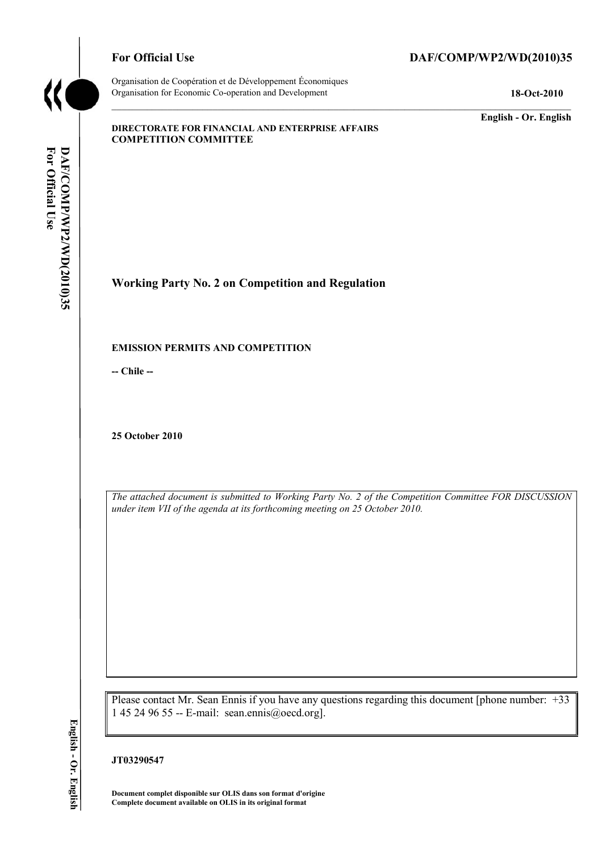

Organisation de Coopération et de Développement Économiques Organisation for Economic Co-operation and Development **18-Oct-2010** 

# For Official Use DAF/COMP/WP2/WD(2010)35

**English - Or. English** 

#### **DIRECTORATE FOR FINANCIAL AND ENTERPRISE AFFAIRS COMPETITION COMMITTEE**

For Official Use DAF/COMP/WP2/WD(2010)35 **For Official Use DAF/COMP/WP2/WD(2010)35 English - Or. English**

**Working Party No. 2 on Competition and Regulation** 

### **EMISSION PERMITS AND COMPETITION**

**-- Chile --** 

**25 October 2010** 

*The attached document is submitted to Working Party No. 2 of the Competition Committee FOR DISCUSSION under item VII of the agenda at its forthcoming meeting on 25 October 2010.* 

Please contact Mr. Sean Ennis if you have any questions regarding this document [phone number: +33 1 45 24 96 55 -- E-mail: sean.ennis@oecd.org].

### **JT03290547**

**Document complet disponible sur OLIS dans son format d'origine Complete document available on OLIS in its original format**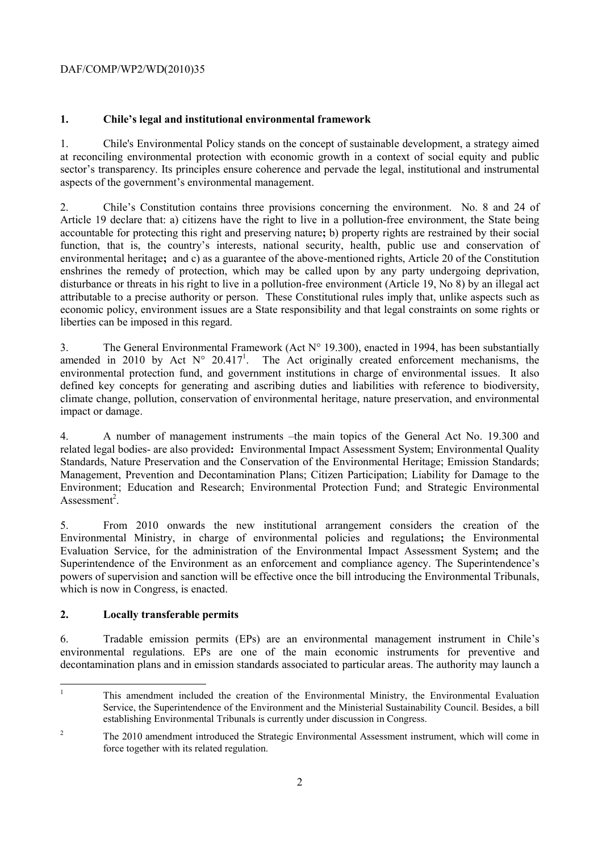## DAF/COMP/WP2/WD(2010)35

# **1. Chile's legal and institutional environmental framework**

1. Chile's Environmental Policy stands on the concept of sustainable development, a strategy aimed at reconciling environmental protection with economic growth in a context of social equity and public sector's transparency. Its principles ensure coherence and pervade the legal, institutional and instrumental aspects of the government's environmental management.

2. Chile's Constitution contains three provisions concerning the environment. No. 8 and 24 of Article 19 declare that: a) citizens have the right to live in a pollution-free environment, the State being accountable for protecting this right and preserving nature**;** b) property rights are restrained by their social function, that is, the country's interests, national security, health, public use and conservation of environmental heritage**;** and c) as a guarantee of the above-mentioned rights, Article 20 of the Constitution enshrines the remedy of protection, which may be called upon by any party undergoing deprivation, disturbance or threats in his right to live in a pollution-free environment (Article 19, No 8) by an illegal act attributable to a precise authority or person. These Constitutional rules imply that, unlike aspects such as economic policy, environment issues are a State responsibility and that legal constraints on some rights or liberties can be imposed in this regard.

3. The General Environmental Framework (Act N° 19.300), enacted in 1994, has been substantially amended in 2010 by Act  $N^{\circ}$  20.417<sup>1</sup>. The Act originally created enforcement mechanisms, the environmental protection fund, and government institutions in charge of environmental issues. It also defined key concepts for generating and ascribing duties and liabilities with reference to biodiversity, climate change, pollution, conservation of environmental heritage, nature preservation, and environmental impact or damage.

4. A number of management instruments –the main topics of the General Act No. 19.300 and related legal bodies- are also provided**:** Environmental Impact Assessment System; Environmental Quality Standards, Nature Preservation and the Conservation of the Environmental Heritage; Emission Standards; Management, Prevention and Decontamination Plans; Citizen Participation; Liability for Damage to the Environment; Education and Research; Environmental Protection Fund; and Strategic Environmental Assessment<sup>2</sup>.

5. From 2010 onwards the new institutional arrangement considers the creation of the Environmental Ministry, in charge of environmental policies and regulations**;** the Environmental Evaluation Service, for the administration of the Environmental Impact Assessment System**;** and the Superintendence of the Environment as an enforcement and compliance agency. The Superintendence's powers of supervision and sanction will be effective once the bill introducing the Environmental Tribunals, which is now in Congress, is enacted.

## **2. Locally transferable permits**

6. Tradable emission permits (EPs) are an environmental management instrument in Chile's environmental regulations. EPs are one of the main economic instruments for preventive and decontamination plans and in emission standards associated to particular areas. The authority may launch a

<sup>|&</sup>lt;br>|<br>| This amendment included the creation of the Environmental Ministry, the Environmental Evaluation Service, the Superintendence of the Environment and the Ministerial Sustainability Council. Besides, a bill establishing Environmental Tribunals is currently under discussion in Congress.

<sup>2</sup> The 2010 amendment introduced the Strategic Environmental Assessment instrument, which will come in force together with its related regulation.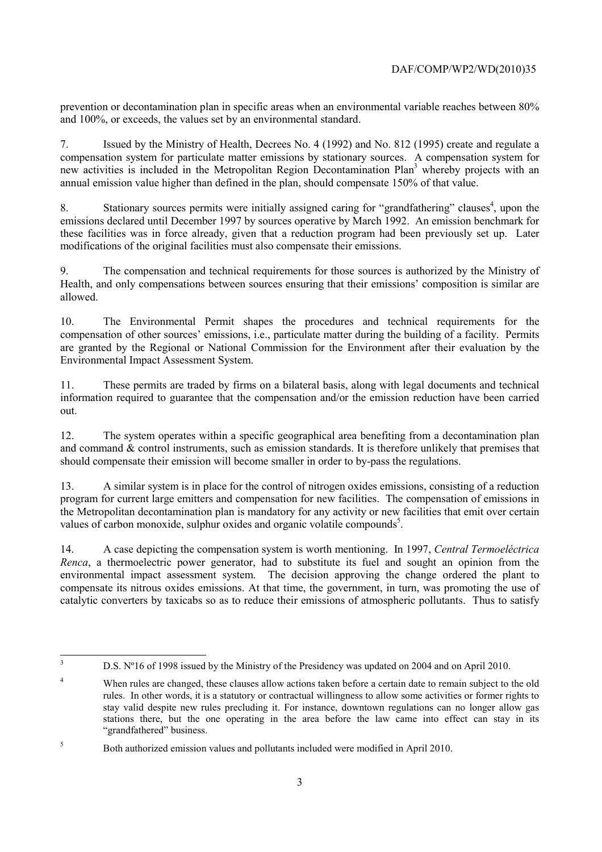prevention or decontamination plan in specific areas when an environmental variable reaches between 80% and 100%, or exceeds, the values set by an environmental standard.

7. Issued by the Ministry of Health, Decrees No. 4 (1992) and No. 812 (1995) create and regulate a compensation system for particulate matter emissions by stationary sources. A compensation system for new activities is included in the Metropolitan Region Decontamination Plan<sup>3</sup> whereby projects with an annual emission value higher than defined in the plan, should compensate 150% of that value.

8. Stationary sources permits were initially assigned caring for "grandfathering" clauses<sup>4</sup>, upon the emissions declared until December 1997 by sources operative by March 1992. An emission benchmark for these facilities was in force already, given that a reduction program had been previously set up. Later modifications of the original facilities must also compensate their emissions.

9. The compensation and technical requirements for those sources is authorized by the Ministry of Health, and only compensations between sources ensuring that their emissions' composition is similar are allowed.

10. The Environmental Permit shapes the procedures and technical requirements for the compensation of other sources' emissions, i.e., particulate matter during the building of a facility. Permits are granted by the Regional or National Commission for the Environment after their evaluation by the Environmental Impact Assessment System.

11. These permits are traded by firms on a bilateral basis, along with legal documents and technical information required to guarantee that the compensation and/or the emission reduction have been carried out.

12. The system operates within a specific geographical area benefiting from a decontamination plan and command  $&$  control instruments, such as emission standards. It is therefore unlikely that premises that should compensate their emission will become smaller in order to by-pass the regulations.

13. A similar system is in place for the control of nitrogen oxides emissions, consisting of a reduction program for current large emitters and compensation for new facilities. The compensation of emissions in the Metropolitan decontamination plan is mandatory for any activity or new facilities that emit over certain values of carbon monoxide, sulphur oxides and organic volatile compounds<sup>5</sup>.

14. A case depicting the compensation system is worth mentioning. In 1997, *Central Termoeléctrica Renca*, a thermoelectric power generator, had to substitute its fuel and sought an opinion from the environmental impact assessment system. The decision approving the change ordered the plant to compensate its nitrous oxides emissions. At that time, the government, in turn, was promoting the use of catalytic converters by taxicabs so as to reduce their emissions of atmospheric pollutants. Thus to satisfy

 3

D.S. Nº16 of 1998 issued by the Ministry of the Presidency was updated on 2004 and on April 2010.

<sup>4</sup> When rules are changed, these clauses allow actions taken before a certain date to remain subject to the old rules. In other words, it is a statutory or contractual willingness to allow some activities or former rights to stay valid despite new rules precluding it. For instance, downtown regulations can no longer allow gas stations there, but the one operating in the area before the law came into effect can stay in its "grandfathered" business.

<sup>5</sup> Both authorized emission values and pollutants included were modified in April 2010.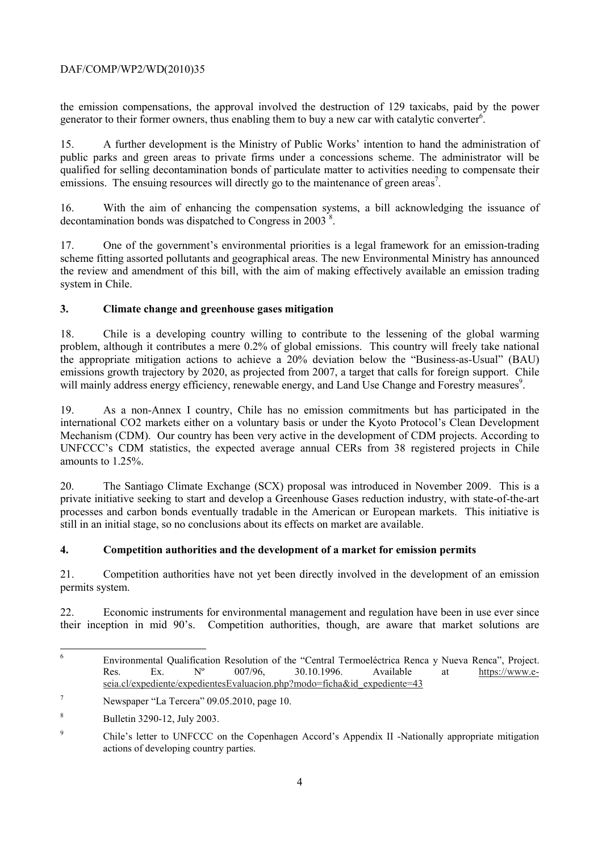## DAF/COMP/WP2/WD(2010)35

the emission compensations, the approval involved the destruction of 129 taxicabs, paid by the power generator to their former owners, thus enabling them to buy a new car with catalytic converter<sup>6</sup>.

15. A further development is the Ministry of Public Works' intention to hand the administration of public parks and green areas to private firms under a concessions scheme. The administrator will be qualified for selling decontamination bonds of particulate matter to activities needing to compensate their emissions. The ensuing resources will directly go to the maintenance of green areas<sup>7</sup>.

16. With the aim of enhancing the compensation systems, a bill acknowledging the issuance of decontamination bonds was dispatched to Congress in  $2003^8$ .

17. One of the government's environmental priorities is a legal framework for an emission-trading scheme fitting assorted pollutants and geographical areas. The new Environmental Ministry has announced the review and amendment of this bill, with the aim of making effectively available an emission trading system in Chile.

### **3. Climate change and greenhouse gases mitigation**

18. Chile is a developing country willing to contribute to the lessening of the global warming problem, although it contributes a mere 0.2% of global emissions. This country will freely take national the appropriate mitigation actions to achieve a 20% deviation below the "Business-as-Usual" (BAU) emissions growth trajectory by 2020, as projected from 2007, a target that calls for foreign support. Chile will mainly address energy efficiency, renewable energy, and Land Use Change and Forestry measures<sup>9</sup>.

19. As a non-Annex I country, Chile has no emission commitments but has participated in the international CO2 markets either on a voluntary basis or under the Kyoto Protocol's Clean Development Mechanism (CDM). Our country has been very active in the development of CDM projects. According to UNFCCC's CDM statistics, the expected average annual CERs from 38 registered projects in Chile amounts to 1.25%.

20. The Santiago Climate Exchange (SCX) proposal was introduced in November 2009. This is a private initiative seeking to start and develop a Greenhouse Gases reduction industry, with state-of-the-art processes and carbon bonds eventually tradable in the American or European markets. This initiative is still in an initial stage, so no conclusions about its effects on market are available.

## **4. Competition authorities and the development of a market for emission permits**

21. Competition authorities have not yet been directly involved in the development of an emission permits system.

22. Economic instruments for environmental management and regulation have been in use ever since their inception in mid 90's. Competition authorities, though, are aware that market solutions are

 6 Environmental Qualification Resolution of the "Central Termoeléctrica Renca y Nueva Renca", Project.<br>Res. Ex. Nº 007/96. 30.10.1996. Available at https://www.e-Res. Ex.  $N^{\circ}$  007/96, 30.10.1996. Available at https://www.eseia.cl/expediente/expedientesEvaluacion.php?modo=ficha&id\_expediente=43

<sup>7</sup> Newspaper "La Tercera" 09.05.2010, page 10.

<sup>8</sup> Bulletin 3290-12, July 2003.

<sup>9</sup> Chile's letter to UNFCCC on the Copenhagen Accord's Appendix II -Nationally appropriate mitigation actions of developing country parties.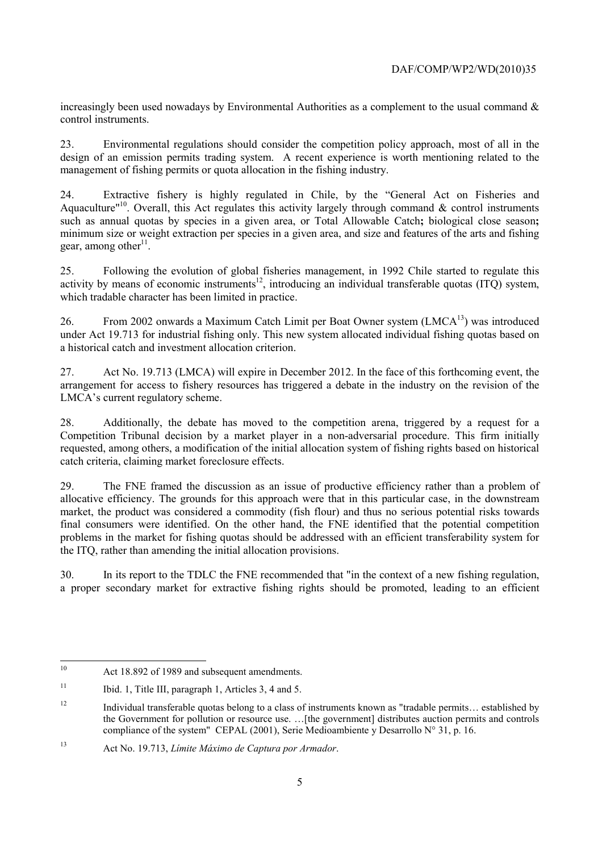increasingly been used nowadays by Environmental Authorities as a complement to the usual command  $\&$ control instruments.

23. Environmental regulations should consider the competition policy approach, most of all in the design of an emission permits trading system. A recent experience is worth mentioning related to the management of fishing permits or quota allocation in the fishing industry.

24. Extractive fishery is highly regulated in Chile, by the "General Act on Fisheries and Aquaculture<sup>"10</sup>. Overall, this Act regulates this activity largely through command  $\&$  control instruments such as annual quotas by species in a given area, or Total Allowable Catch**;** biological close season**;**  minimum size or weight extraction per species in a given area, and size and features of the arts and fishing gear, among other<sup>11</sup>.

25. Following the evolution of global fisheries management, in 1992 Chile started to regulate this activity by means of economic instruments<sup>12</sup>, introducing an individual transferable quotas (ITQ) system, which tradable character has been limited in practice.

26. From 2002 onwards a Maximum Catch Limit per Boat Owner system (LMCA<sup>13</sup>) was introduced under Act 19.713 for industrial fishing only. This new system allocated individual fishing quotas based on a historical catch and investment allocation criterion.

27. Act No. 19.713 (LMCA) will expire in December 2012. In the face of this forthcoming event, the arrangement for access to fishery resources has triggered a debate in the industry on the revision of the LMCA's current regulatory scheme.

28. Additionally, the debate has moved to the competition arena, triggered by a request for a Competition Tribunal decision by a market player in a non-adversarial procedure. This firm initially requested, among others, a modification of the initial allocation system of fishing rights based on historical catch criteria, claiming market foreclosure effects.

29. The FNE framed the discussion as an issue of productive efficiency rather than a problem of allocative efficiency. The grounds for this approach were that in this particular case, in the downstream market, the product was considered a commodity (fish flour) and thus no serious potential risks towards final consumers were identified. On the other hand, the FNE identified that the potential competition problems in the market for fishing quotas should be addressed with an efficient transferability system for the ITQ, rather than amending the initial allocation provisions.

30. In its report to the TDLC the FNE recommended that "in the context of a new fishing regulation, a proper secondary market for extractive fishing rights should be promoted, leading to an efficient

 $10<sup>10</sup>$ Act 18.892 of 1989 and subsequent amendments.

<sup>&</sup>lt;sup>11</sup> Ibid. 1, Title III, paragraph 1, Articles 3, 4 and 5.

<sup>12</sup> Individual transferable quotas belong to a class of instruments known as "tradable permits… established by the Government for pollution or resource use. …[the government] distributes auction permits and controls compliance of the system" CEPAL (2001), Serie Medioambiente y Desarrollo N° 31, p. 16.

<sup>13</sup> Act No. 19.713, *Límite Máximo de Captura por Armador*.